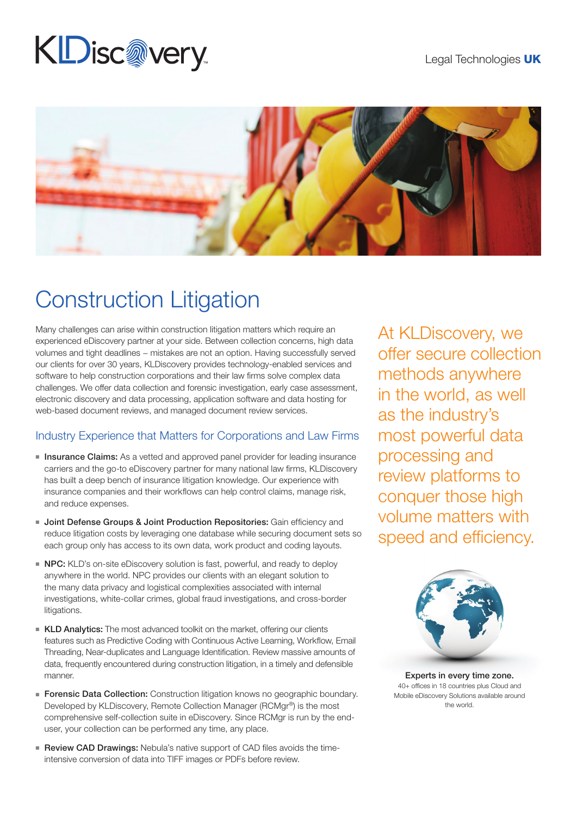# KDisc@very



## Construction Litigation

Many challenges can arise within construction litigation matters which require an experienced eDiscovery partner at your side. Between collection concerns, high data volumes and tight deadlines − mistakes are not an option. Having successfully served our clients for over 30 years, KLDiscovery provides technology-enabled services and software to help construction corporations and their law firms solve complex data challenges. We offer data collection and forensic investigation, early case assessment, electronic discovery and data processing, application software and data hosting for web-based document reviews, and managed document review services.

#### Industry Experience that Matters for Corporations and Law Firms

- **Insurance Claims:** As a vetted and approved panel provider for leading insurance carriers and the go-to eDiscovery partner for many national law firms, KLDiscovery has built a deep bench of insurance litigation knowledge. Our experience with insurance companies and their workflows can help control claims, manage risk, and reduce expenses.
- **Joint Defense Groups & Joint Production Repositories:** Gain efficiency and reduce litigation costs by leveraging one database while securing document sets so each group only has access to its own data, work product and coding layouts.
- NPC: KLD's on-site eDiscovery solution is fast, powerful, and ready to deploy anywhere in the world. NPC provides our clients with an elegant solution to the many data privacy and logistical complexities associated with internal investigations, white-collar crimes, global fraud investigations, and cross-border litigations.
- **KLD Analytics:** The most advanced toolkit on the market, offering our clients features such as Predictive Coding with Continuous Active Learning, Workflow, Email Threading, Near-duplicates and Language Identification. Review massive amounts of data, frequently encountered during construction litigation, in a timely and defensible manner.
- Forensic Data Collection: Construction litigation knows no geographic boundary. Developed by KLDiscovery, Remote Collection Manager (RCMgr®) is the most comprehensive self-collection suite in eDiscovery. Since RCMgr is run by the enduser, your collection can be performed any time, any place.
- Review CAD Drawings: Nebula's native support of CAD files avoids the timeintensive conversion of data into TIFF images or PDFs before review.

At KLDiscovery, we offer secure collection methods anywhere in the world, as well as the industry's most powerful data processing and review platforms to conquer those high volume matters with speed and efficiency.



Experts in every time zone. 40+ offices in 18 countries plus Cloud and Mobile eDiscovery Solutions available around the world.